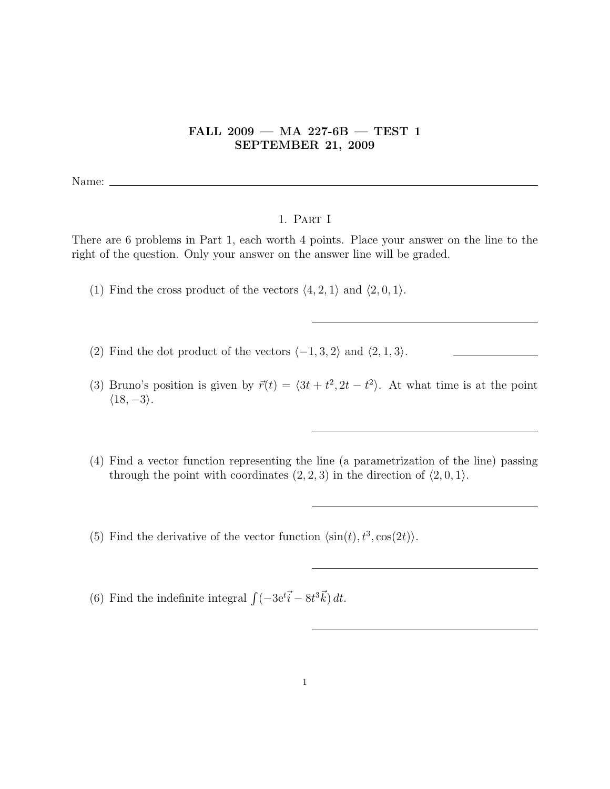## FALL 2009 — MA 227-6B — TEST 1 SEPTEMBER 21, 2009

Name:

## 1. Part I

There are 6 problems in Part 1, each worth 4 points. Place your answer on the line to the right of the question. Only your answer on the answer line will be graded.

- (1) Find the cross product of the vectors  $\langle 4, 2, 1 \rangle$  and  $\langle 2, 0, 1 \rangle$ .
- (2) Find the dot product of the vectors  $\langle -1, 3, 2 \rangle$  and  $\langle 2, 1, 3 \rangle$ .
- (3) Bruno's position is given by  $\vec{r}(t) = \langle 3t + t^2, 2t t^2 \rangle$ . At what time is at the point  $\langle 18, -3 \rangle$ .
- (4) Find a vector function representing the line (a parametrization of the line) passing through the point with coordinates  $(2, 2, 3)$  in the direction of  $(2, 0, 1)$ .
- (5) Find the derivative of the vector function  $\langle \sin(t), t^3, \cos(2t) \rangle$ .
- (6) Find the indefinite integral  $\int (-3e^{t}\vec{i} 8t^{3}\vec{k}) dt$ .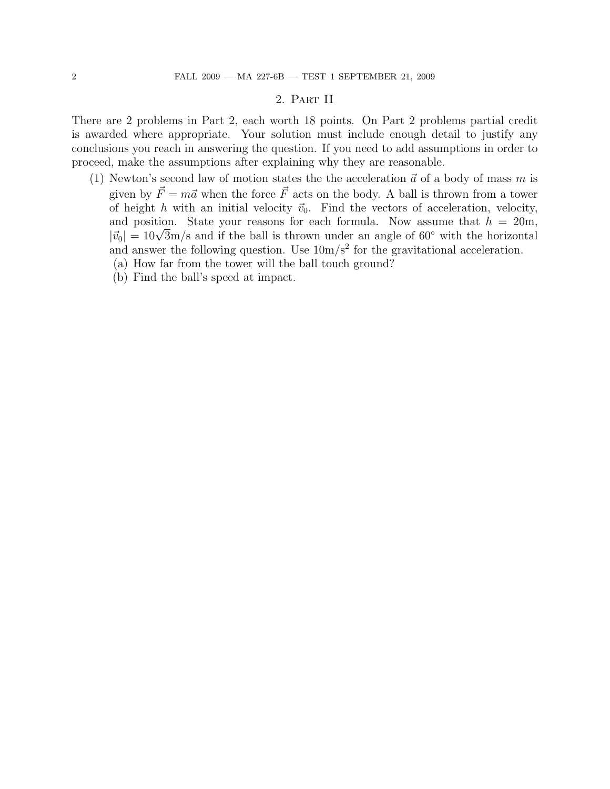## 2. Part II

There are 2 problems in Part 2, each worth 18 points. On Part 2 problems partial credit is awarded where appropriate. Your solution must include enough detail to justify any conclusions you reach in answering the question. If you need to add assumptions in order to proceed, make the assumptions after explaining why they are reasonable.

- (1) Newton's second law of motion states the the acceleration  $\vec{a}$  of a body of mass m is given by  $\vec{F} = m\vec{a}$  when the force  $\vec{F}$  acts on the body. A ball is thrown from a tower of height h with an initial velocity  $\vec{v}_0$ . Find the vectors of acceleration, velocity, and position. State your reasons for each formula. Now assume that  $h = 20$ m, and position. State your reasons for each formula. Now assume that  $h = 20$ m,<br> $|\vec{v}_0| = 10\sqrt{3}$ m/s and if the ball is thrown under an angle of 60° with the horizontal and answer the following question. Use  $10 \text{m/s}^2$  for the gravitational acceleration.
	- (a) How far from the tower will the ball touch ground?
	- (b) Find the ball's speed at impact.